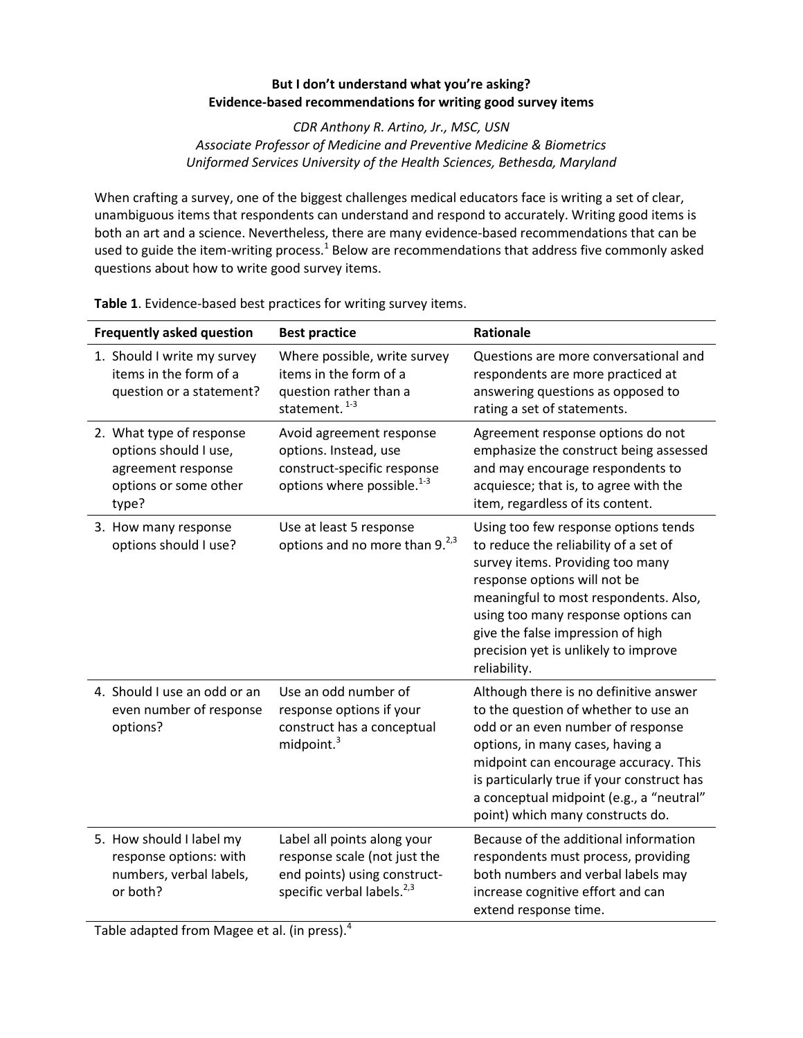## **But I don't understand what you're asking? Evidence-based recommendations for writing good survey items**

*CDR Anthony R. Artino, Jr., MSC, USN Associate Professor of Medicine and Preventive Medicine & Biometrics Uniformed Services University of the Health Sciences, Bethesda, Maryland*

When crafting a survey, one of the biggest challenges medical educators face is writing a set of clear, unambiguous items that respondents can understand and respond to accurately. Writing good items is both an art and a science. Nevertheless, there are many evidence-based recommendations that can be used to guide the item-writing process.<sup>1</sup> Below are recommendations that address five commonly asked questions about how to write good survey items.

| <b>Frequently asked question</b>                                                                          | <b>Best practice</b>                                                                                                                  | <b>Rationale</b>                                                                                                                                                                                                                                                                                                               |
|-----------------------------------------------------------------------------------------------------------|---------------------------------------------------------------------------------------------------------------------------------------|--------------------------------------------------------------------------------------------------------------------------------------------------------------------------------------------------------------------------------------------------------------------------------------------------------------------------------|
| 1. Should I write my survey<br>items in the form of a<br>question or a statement?                         | Where possible, write survey<br>items in the form of a<br>question rather than a<br>statement. <sup>1-3</sup>                         | Questions are more conversational and<br>respondents are more practiced at<br>answering questions as opposed to<br>rating a set of statements.                                                                                                                                                                                 |
| 2. What type of response<br>options should I use,<br>agreement response<br>options or some other<br>type? | Avoid agreement response<br>options. Instead, use<br>construct-specific response<br>options where possible. <sup>1-3</sup>            | Agreement response options do not<br>emphasize the construct being assessed<br>and may encourage respondents to<br>acquiesce; that is, to agree with the<br>item, regardless of its content.                                                                                                                                   |
| 3. How many response<br>options should I use?                                                             | Use at least 5 response<br>options and no more than 9. <sup>2,3</sup>                                                                 | Using too few response options tends<br>to reduce the reliability of a set of<br>survey items. Providing too many<br>response options will not be<br>meaningful to most respondents. Also,<br>using too many response options can<br>give the false impression of high<br>precision yet is unlikely to improve<br>reliability. |
| 4. Should I use an odd or an<br>even number of response<br>options?                                       | Use an odd number of<br>response options if your<br>construct has a conceptual<br>midpoint. <sup>3</sup>                              | Although there is no definitive answer<br>to the question of whether to use an<br>odd or an even number of response<br>options, in many cases, having a<br>midpoint can encourage accuracy. This<br>is particularly true if your construct has<br>a conceptual midpoint (e.g., a "neutral"<br>point) which many constructs do. |
| 5. How should I label my<br>response options: with<br>numbers, verbal labels,<br>or both?                 | Label all points along your<br>response scale (not just the<br>end points) using construct-<br>specific verbal labels. <sup>2,3</sup> | Because of the additional information<br>respondents must process, providing<br>both numbers and verbal labels may<br>increase cognitive effort and can<br>extend response time.                                                                                                                                               |

**Table 1**. Evidence-based best practices for writing survey items.

Table adapted from Magee et al. (in press).<sup>4</sup>